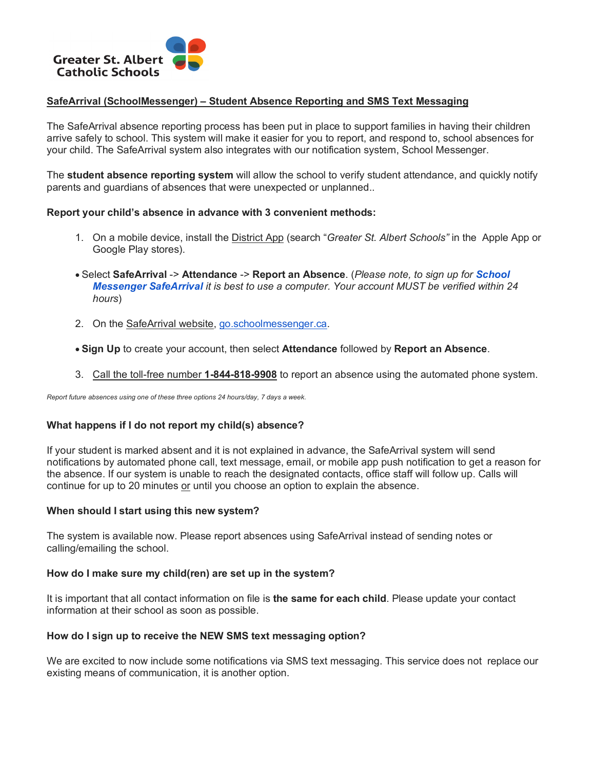

## **SafeArrival (SchoolMessenger) – Student Absence Reporting and SMS Text Messaging**

The SafeArrival absence reporting process has been put in place to support families in having their children arrive safely to school. This system will make it easier for you to report, and respond to, school absences for your child. The SafeArrival system also integrates with our notification system, School Messenger.

The **student absence reporting system** will allow the school to verify student attendance, and quickly notify parents and guardians of absences that were unexpected or unplanned..

## **Report your child's absence in advance with 3 convenient methods:**

- 1. On a mobile device, install the District App (search "*Greater St. Albert Schools"* in the Apple App or Google Play stores).
- Select **SafeArrival** -> **Attendance** -> **Report an Absence**. (*Please note, to sign up for School Messenger SafeArrival it is best to use a computer. Your account MUST be verified within 24 hours*)
- 2. On the SafeArrival website, go.schoolmessenger.ca.
- **Sign Up** to create your account, then select **Attendance** followed by **Report an Absence**.
- 3. Call the toll-free number **1-844-818-9908** to report an absence using the automated phone system.

*Report future absences using one of these three options 24 hours/day, 7 days a week.*

# **What happens if I do not report my child(s) absence?**

If your student is marked absent and it is not explained in advance, the SafeArrival system will send notifications by automated phone call, text message, email, or mobile app push notification to get a reason for the absence. If our system is unable to reach the designated contacts, office staff will follow up. Calls will continue for up to 20 minutes or until you choose an option to explain the absence.

#### **When should I start using this new system?**

The system is available now. Please report absences using SafeArrival instead of sending notes or calling/emailing the school.

#### **How do I make sure my child(ren) are set up in the system?**

It is important that all contact information on file is **the same for each child**. Please update your contact information at their school as soon as possible.

#### **How do I sign up to receive the NEW SMS text messaging option?**

We are excited to now include some notifications via SMS text messaging. This service does not replace our existing means of communication, it is another option.